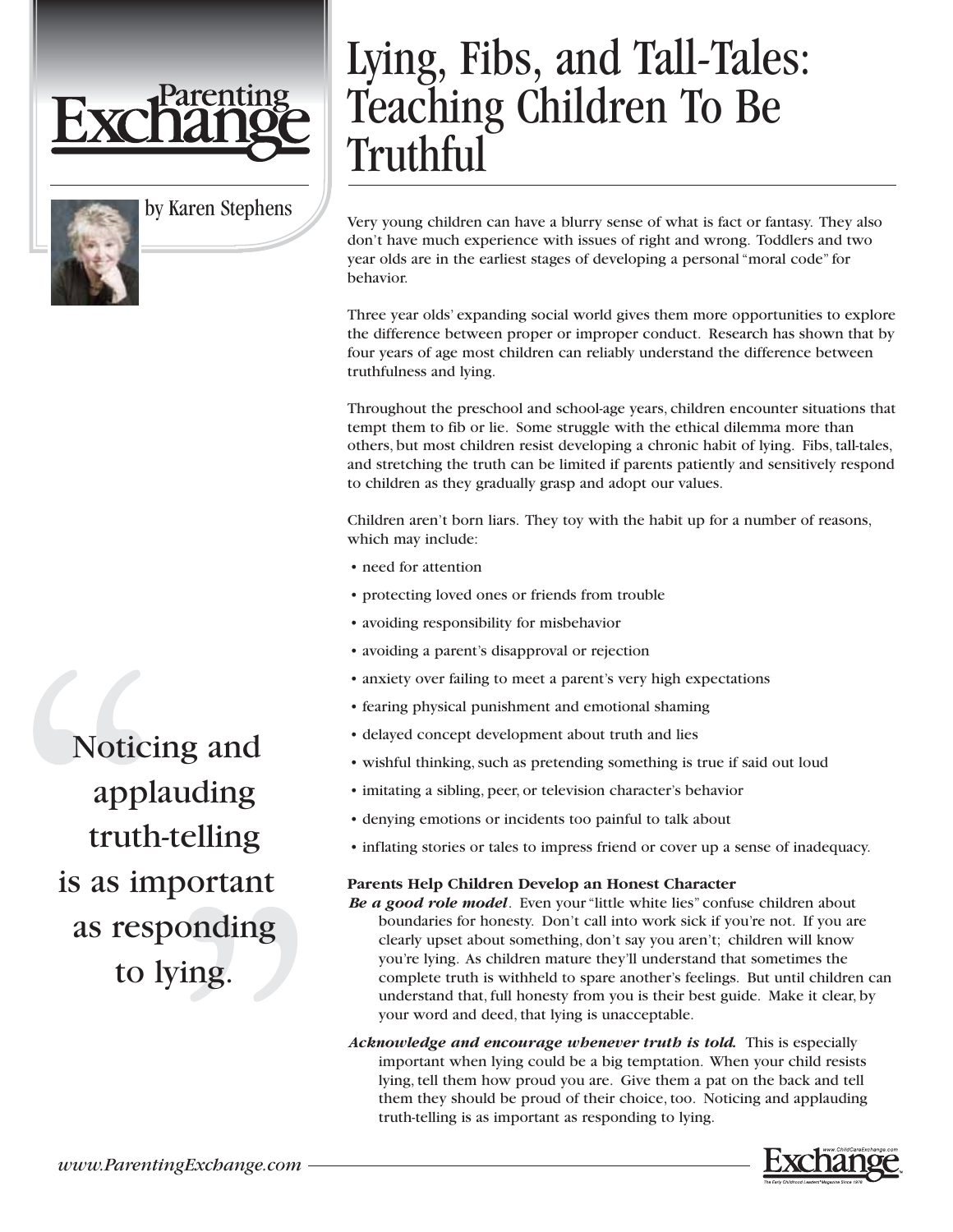

by Karen Stephens

## Lying, Fibs, and Tall-Tales: Teaching Children To Be Truthful

Very young children can have a blurry sense of what is fact or fantasy. They also don't have much experience with issues of right and wrong. Toddlers and two year olds are in the earliest stages of developing a personal "moral code" for behavior.

Three year olds' expanding social world gives them more opportunities to explore the difference between proper or improper conduct. Research has shown that by four years of age most children can reliably understand the difference between truthfulness and lying.

Throughout the preschool and school-age years, children encounter situations that tempt them to fib or lie. Some struggle with the ethical dilemma more than others, but most children resist developing a chronic habit of lying. Fibs, tall-tales, and stretching the truth can be limited if parents patiently and sensitively respond to children as they gradually grasp and adopt our values.

Children aren't born liars. They toy with the habit up for a number of reasons, which may include:

- need for attention
- protecting loved ones or friends from trouble
- avoiding responsibility for misbehavior
- avoiding a parent's disapproval or rejection
- anxiety over failing to meet a parent's very high expectations
- fearing physical punishment and emotional shaming
- delayed concept development about truth and lies
- wishful thinking, such as pretending something is true if said out loud
- imitating a sibling, peer, or television character's behavior
- denying emotions or incidents too painful to talk about
- inflating stories or tales to impress friend or cover up a sense of inadequacy.

## **Parents Help Children Develop an Honest Character**

*Be a good role model*. Even your "little white lies" confuse children about boundaries for honesty. Don't call into work sick if you're not. If you are clearly upset about something, don't say you aren't; children will know you're lying. As children mature they'll understand that sometimes the complete truth is withheld to spare another's feelings. But until children can understand that, full honesty from you is their best guide. Make it clear, by your word and deed, that lying is unacceptable.

*Acknowledge and encourage whenever truth is told.* This is especially important when lying could be a big temptation. When your child resists lying, tell them how proud you are. Give them a pat on the back and tell them they should be proud of their choice, too. Noticing and applauding truth-telling is as important as responding to lying.

Noticing and applauding truth-telling is as important as responding to lying.

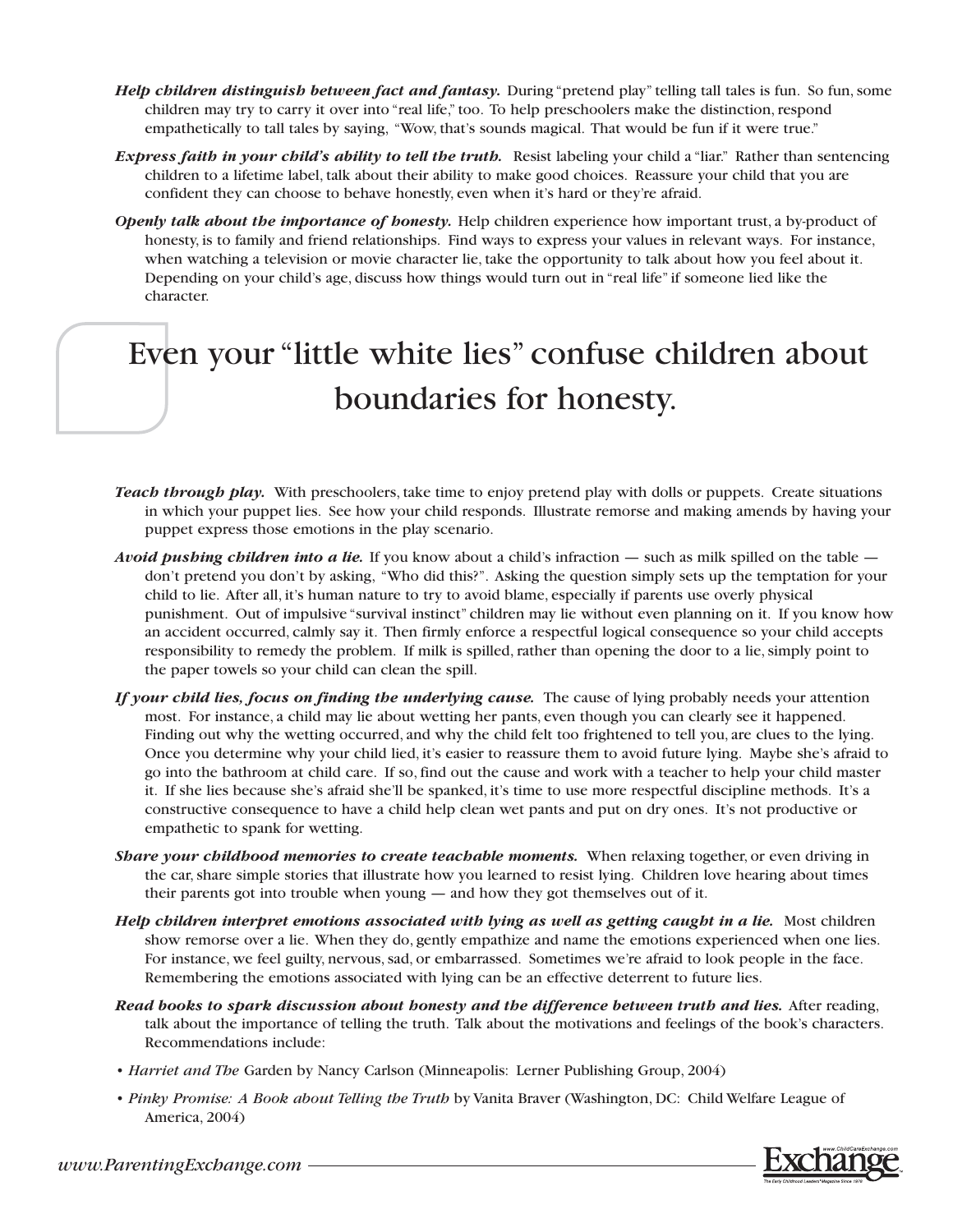- *Help children distinguish between fact and fantasy.* During "pretend play" telling tall tales is fun. So fun, some children may try to carry it over into "real life," too. To help preschoolers make the distinction, respond empathetically to tall tales by saying, "Wow, that's sounds magical. That would be fun if it were true."
- *Express faith in your child's ability to tell the truth.* Resist labeling your child a "liar." Rather than sentencing children to a lifetime label, talk about their ability to make good choices. Reassure your child that you are confident they can choose to behave honestly, even when it's hard or they're afraid.
- *Openly talk about the importance of honesty.* Help children experience how important trust, a by-product of honesty, is to family and friend relationships. Find ways to express your values in relevant ways. For instance, when watching a television or movie character lie, take the opportunity to talk about how you feel about it. Depending on your child's age, discuss how things would turn out in "real life" if someone lied like the character.

## Even your "little white lies" confuse children about boundaries for honesty.

- *Teach through play.* With preschoolers, take time to enjoy pretend play with dolls or puppets. Create situations in which your puppet lies. See how your child responds. Illustrate remorse and making amends by having your puppet express those emotions in the play scenario.
- *Avoid pushing children into a lie.* If you know about a child's infraction such as milk spilled on the table don't pretend you don't by asking, "Who did this?". Asking the question simply sets up the temptation for your child to lie. After all, it's human nature to try to avoid blame, especially if parents use overly physical punishment. Out of impulsive "survival instinct" children may lie without even planning on it. If you know how an accident occurred, calmly say it. Then firmly enforce a respectful logical consequence so your child accepts responsibility to remedy the problem. If milk is spilled, rather than opening the door to a lie, simply point to the paper towels so your child can clean the spill.
- *If your child lies, focus on finding the underlying cause.* The cause of lying probably needs your attention most. For instance, a child may lie about wetting her pants, even though you can clearly see it happened. Finding out why the wetting occurred, and why the child felt too frightened to tell you, are clues to the lying. Once you determine why your child lied, it's easier to reassure them to avoid future lying. Maybe she's afraid to go into the bathroom at child care. If so, find out the cause and work with a teacher to help your child master it. If she lies because she's afraid she'll be spanked, it's time to use more respectful discipline methods. It's a constructive consequence to have a child help clean wet pants and put on dry ones. It's not productive or empathetic to spank for wetting.
- *Share your childhood memories to create teachable moments.* When relaxing together, or even driving in the car, share simple stories that illustrate how you learned to resist lying. Children love hearing about times their parents got into trouble when young — and how they got themselves out of it.
- *Help children interpret emotions associated with lying as well as getting caught in a lie.* Most children show remorse over a lie. When they do, gently empathize and name the emotions experienced when one lies. For instance, we feel guilty, nervous, sad, or embarrassed. Sometimes we're afraid to look people in the face. Remembering the emotions associated with lying can be an effective deterrent to future lies.
- *Read books to spark discussion about bonesty and the difference between truth and lies.* **After reading,** talk about the importance of telling the truth. Talk about the motivations and feelings of the book's characters. Recommendations include:
- *Harriet and The* Garden by Nancy Carlson (Minneapolis: Lerner Publishing Group, 2004)
- *Pinky Promise: A Book about Telling the Truth* by Vanita Braver (Washington, DC: Child Welfare League of America, 2004)